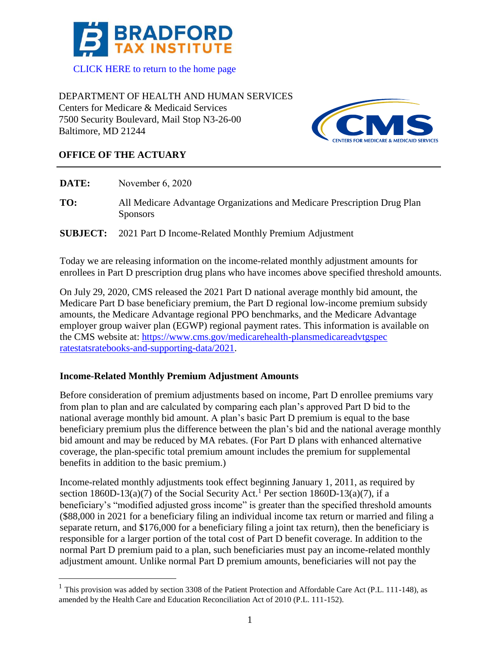

DEPARTMENT OF HEALTH AND HUMAN SERVICES Centers for Medicare & Medicaid Services 7500 Security Boulevard, Mail Stop N3-26-00 Baltimore, MD 21244



## **OFFICE OF THE ACTUARY**

| DATE: | November 6, 2020                                                                                                                                                                           |
|-------|--------------------------------------------------------------------------------------------------------------------------------------------------------------------------------------------|
| TO:   | All Medicare Advantage Organizations and Medicare Prescription Drug Plan<br><b>Sponsors</b>                                                                                                |
|       | <b>SUBJECT:</b> 2021 Part D Income-Related Monthly Premium Adjustment                                                                                                                      |
|       | Today we are releasing information on the income-related monthly adjustment amounts for<br>enrollees in Part D prescription drug plans who have incomes above specified threshold amounts. |

On July 29, 2020, CMS released the 2021 Part D national average monthly bid amount, the Medicare Part D base beneficiary premium, the Part D regional low-income premium subsidy amounts, the Medicare Advantage regional PPO benchmarks, and the Medicare Advantage employer group waiver plan (EGWP) regional payment rates. This information is available on the CMS website at: https://www.cms.gov/medicarehealth-plansmedicareadvtgspec ratestatsratebooks-and-supporting-data/2021.

## **Income-Related Monthly Premium Adjustment Amounts**

Before consideration of premium adjustments based on income, Part D enrollee premiums vary from plan to plan and are calculated by comparing each plan's approved Part D bid to the national average monthly bid amount. A plan's basic Part D premium is equal to the base beneficiary premium plus the difference between the plan's bid and the national average monthly bid amount and may be reduced by MA rebates. (For Part D plans with enhanced alternative coverage, the plan-specific total premium amount includes the premium for supplemental benefits in addition to the basic premium.)

Income-related monthly adjustments took effect beginning January 1, 2011, as required by section 1860D-13(a)(7) of the Social Security Act.<sup>1</sup> Per section 1860D-13(a)(7), if a beneficiary's "modified adjusted gross income" is greater than the specified threshold amounts (\$88,000 in 2021 for a beneficiary filing an individual income tax return or married and filing a separate return, and \$176,000 for a beneficiary filing a joint tax return), then the beneficiary is responsible for a larger portion of the total cost of Part D benefit coverage. In addition to the normal Part D premium paid to a plan, such beneficiaries must pay an income-related monthly adjustment amount. Unlike normal Part D premium amounts, beneficiaries will not pay the

<sup>&</sup>lt;sup>1</sup> This provision was added by section 3308 of the Patient Protection and Affordable Care Act (P.L. 111-148), as amended by the Health Care and Education Reconciliation Act of 2010 (P.L. 111-152).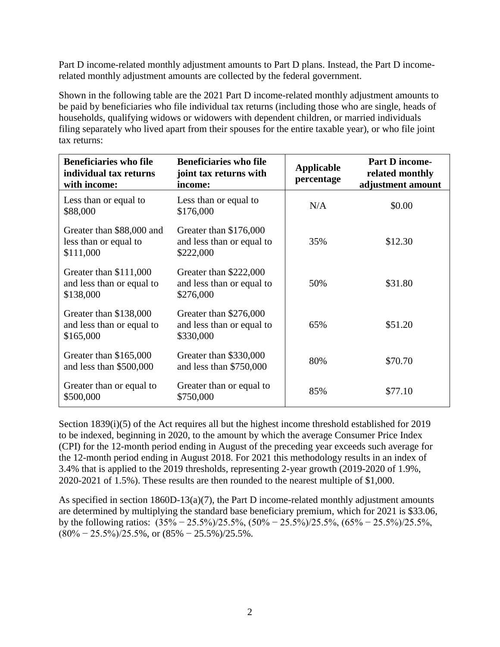Part D income-related monthly adjustment amounts to Part D plans. Instead, the Part D incomerelated monthly adjustment amounts are collected by the federal government.

Shown in the following table are the 2021 Part D income-related monthly adjustment amounts to be paid by beneficiaries who file individual tax returns (including those who are single, heads of households, qualifying widows or widowers with dependent children, or married individuals filing separately who lived apart from their spouses for the entire taxable year), or who file joint tax returns:

| <b>Beneficiaries who file</b><br>individual tax returns<br>with income: | <b>Beneficiaries who file</b><br>joint tax returns with<br>income: | <b>Applicable</b><br>percentage | <b>Part D income-</b><br>related monthly<br>adjustment amount |
|-------------------------------------------------------------------------|--------------------------------------------------------------------|---------------------------------|---------------------------------------------------------------|
| Less than or equal to<br>\$88,000                                       | Less than or equal to<br>\$176,000                                 | N/A                             | \$0.00                                                        |
| Greater than \$88,000 and<br>less than or equal to<br>\$111,000         | Greater than \$176,000<br>and less than or equal to<br>\$222,000   | 35%                             | \$12.30                                                       |
| Greater than \$111,000<br>and less than or equal to<br>\$138,000        | Greater than \$222,000<br>and less than or equal to<br>\$276,000   | 50%                             | \$31.80                                                       |
| Greater than \$138,000<br>and less than or equal to<br>\$165,000        | Greater than \$276,000<br>and less than or equal to<br>\$330,000   | 65%                             | \$51.20                                                       |
| Greater than \$165,000<br>and less than \$500,000                       | Greater than \$330,000<br>and less than \$750,000                  | 80%                             | \$70.70                                                       |
| Greater than or equal to<br>\$500,000                                   | Greater than or equal to<br>\$750,000                              | 85%                             | \$77.10                                                       |

Section 1839(i)(5) of the Act requires all but the highest income threshold established for 2019 to be indexed, beginning in 2020, to the amount by which the average Consumer Price Index (CPI) for the 12-month period ending in August of the preceding year exceeds such average for the 12-month period ending in August 2018. For 2021 this methodology results in an index of 3.4% that is applied to the 2019 thresholds, representing 2-year growth (2019-2020 of 1.9%, 2020-2021 of 1.5%). These results are then rounded to the nearest multiple of \$1,000.

As specified in section 1860D-13(a)(7), the Part D income-related monthly adjustment amounts are determined by multiplying the standard base beneficiary premium, which for 2021 is \$33.06, by the following ratios: (35% − 25.5%)/25.5%, (50% − 25.5%)/25.5%, (65% − 25.5%)/25.5%,  $(80\% - 25.5\%)$ /25.5%, or  $(85\% - 25.5\%)$ /25.5%.